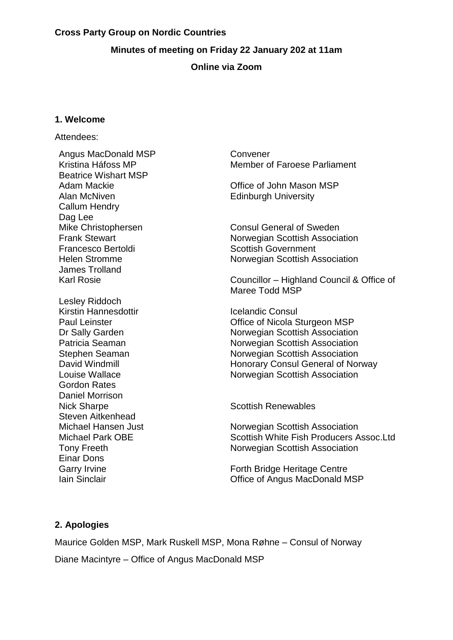#### **Cross Party Group on Nordic Countries**

### **Minutes of meeting on Friday 22 January 202 at 11am**

### **Online via Zoom**

### **1. Welcome**

#### Attendees:

Angus MacDonald MSP Convener Beatrice Wishart MSP Alan McNiven **Edinburgh University** Callum Hendry Dag Lee Francesco Bertoldi Scottish Government James Trolland Lesley Riddoch Kirstin Hannesdottir **International Consultance** Icelandic Consul Gordon Rates Daniel Morrison Nick Sharpe **Scottish Renewables** Scottish Renewables Steven Aitkenhead Einar Dons

Kristina Háfoss MP Member of Faroese Parliament

Adam Mackie **Communist Communist Communist Communist Communist Communist Communist Communist Communist Communist Communist Communist Communist Communist Communist Communist Communist Communist Communist Communist Communist** 

Mike Christophersen Consul General of Sweden<br>Frank Stewart Consul General of Sweden Norwegian Scottish Association Helen Stromme Norwegian Scottish Association

Karl Rosie Councillor – Highland Council & Office of Maree Todd MSP

Paul Leinster **Contract Contract Contract Contract Contract Contract Contract Contract Contract Contract Contract Contract Contract Contract Contract Contract Contract Contract Contract Contract Contract Contract Contract** Dr Sally Garden Norwegian Scottish Association Patricia Seaman Norwegian Scottish Association Stephen Seaman Norwegian Scottish Association David Windmill **No. 2018** Honorary Consul General of Norway Louise Wallace Norwegian Scottish Association

Michael Hansen Just Norwegian Scottish Association Michael Park OBE Scottish White Fish Producers Assoc.Ltd Tony Freeth **Norwegian** Scottish Association

Garry Irvine **Forth Bridge Heritage Centre** Iain Sinclair Office of Angus MacDonald MSP

## **2. Apologies**

Maurice Golden MSP, Mark Ruskell MSP, Mona Røhne – Consul of Norway Diane Macintyre – Office of Angus MacDonald MSP